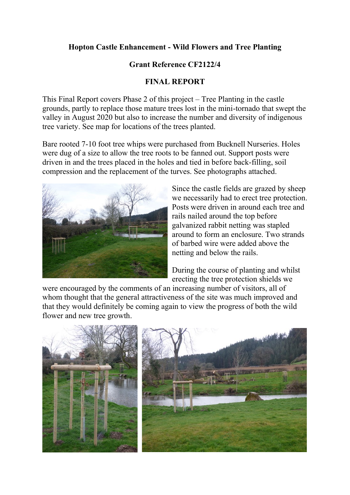## **Hopton Castle Enhancement - Wild Flowers and Tree Planting**

## **Grant Reference CF2122/4**

## **FINAL REPORT**

This Final Report covers Phase 2 of this project – Tree Planting in the castle grounds, partly to replace those mature trees lost in the mini-tornado that swept the valley in August 2020 but also to increase the number and diversity of indigenous tree variety. See map for locations of the trees planted.

Bare rooted 7-10 foot tree whips were purchased from Bucknell Nurseries. Holes were dug of a size to allow the tree roots to be fanned out. Support posts were driven in and the trees placed in the holes and tied in before back-filling, soil compression and the replacement of the turves. See photographs attached.



Since the castle fields are grazed by sheep we necessarily had to erect tree protection. Posts were driven in around each tree and rails nailed around the top before galvanized rabbit netting was stapled around to form an enclosure. Two strands of barbed wire were added above the netting and below the rails.

During the course of planting and whilst erecting the tree protection shields we

were encouraged by the comments of an increasing number of visitors, all of whom thought that the general attractiveness of the site was much improved and that they would definitely be coming again to view the progress of both the wild flower and new tree growth.